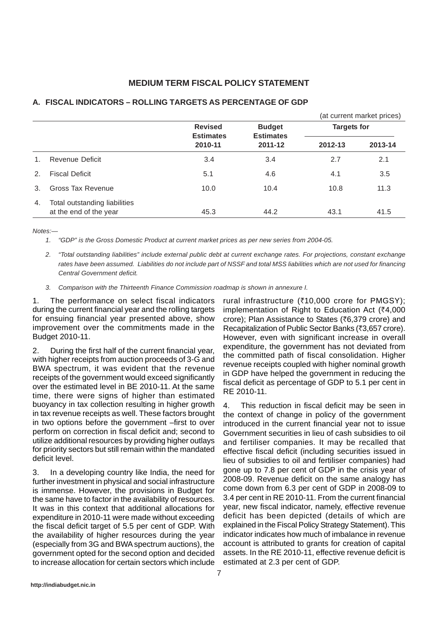# **MEDIUM TERM FISCAL POLICY STATEMENT**

|               |                                                         |                                               |                                              | (at current market prices) |         |
|---------------|---------------------------------------------------------|-----------------------------------------------|----------------------------------------------|----------------------------|---------|
|               |                                                         | <b>Revised</b><br><b>Estimates</b><br>2010-11 | <b>Budget</b><br><b>Estimates</b><br>2011-12 | <b>Targets for</b>         |         |
|               |                                                         |                                               |                                              | 2012-13                    | 2013-14 |
| $1_{-}$       | Revenue Deficit                                         | 3.4                                           | 3.4                                          | 2.7                        | 2.1     |
| 2.            | <b>Fiscal Deficit</b>                                   | 5.1                                           | 4.6                                          | 4.1                        | 3.5     |
| $\mathcal{E}$ | Gross Tax Revenue                                       | 10.0                                          | 10.4                                         | 10.8                       | 11.3    |
| 4.            | Total outstanding liabilities<br>at the end of the year | 45.3                                          | 44.2                                         | 43.1                       | 41.5    |

# **A. FISCAL INDICATORS – ROLLING TARGETS AS PERCENTAGE OF GDP**

*Notes:—*

*1. "GDP" is the Gross Domestic Product at current market prices as per new series from 2004-05.*

- *2. "Total outstanding liabilities" include external public debt at current exchange rates. For projections, constant exchange rates have been assumed. Liabilities do not include part of NSSF and total MSS liabilities which are not used for financing Central Government deficit.*
- *3. Comparison with the Thirteenth Finance Commission roadmap is shown in annexure I.*

1. The performance on select fiscal indicators during the current financial year and the rolling targets for ensuing financial year presented above, show improvement over the commitments made in the Budget 2010-11.

2. During the first half of the current financial year, with higher receipts from auction proceeds of 3-G and BWA spectrum, it was evident that the revenue receipts of the government would exceed significantly over the estimated level in BE 2010-11. At the same time, there were signs of higher than estimated buoyancy in tax collection resulting in higher growth in tax revenue receipts as well. These factors brought in two options before the government –first to over perform on correction in fiscal deficit and; second to utilize additional resources by providing higher outlays for priority sectors but still remain within the mandated deficit level.

3. In a developing country like India, the need for further investment in physical and social infrastructure is immense. However, the provisions in Budget for the same have to factor in the availability of resources. It was in this context that additional allocations for expenditure in 2010-11 were made without exceeding the fiscal deficit target of 5.5 per cent of GDP. With the availability of higher resources during the year (especially from 3G and BWA spectrum auctions), the government opted for the second option and decided to increase allocation for certain sectors which include rural infrastructure ( $\overline{5}$ 10,000 crore for PMGSY); implementation of Right to Education Act  $(74,000)$ crore); Plan Assistance to States ( $\overline{6}$ , 379 crore) and Recapitalization of Public Sector Banks (₹3,657 crore). However, even with significant increase in overall expenditure, the government has not deviated from the committed path of fiscal consolidation. Higher revenue receipts coupled with higher nominal growth in GDP have helped the government in reducing the fiscal deficit as percentage of GDP to 5.1 per cent in RE 2010-11.

4. This reduction in fiscal deficit may be seen in the context of change in policy of the government introduced in the current financial year not to issue Government securities in lieu of cash subsidies to oil and fertiliser companies. It may be recalled that effective fiscal deficit (including securities issued in lieu of subsidies to oil and fertiliser companies) had gone up to 7.8 per cent of GDP in the crisis year of 2008-09. Revenue deficit on the same analogy has come down from 6.3 per cent of GDP in 2008-09 to 3.4 per cent in RE 2010-11. From the current financial year, new fiscal indicator, namely, effective revenue deficit has been depicted (details of which are explained in the Fiscal Policy Strategy Statement). This indicator indicates how much of imbalance in revenue account is attributed to grants for creation of capital assets. In the RE 2010-11, effective revenue deficit is estimated at 2.3 per cent of GDP.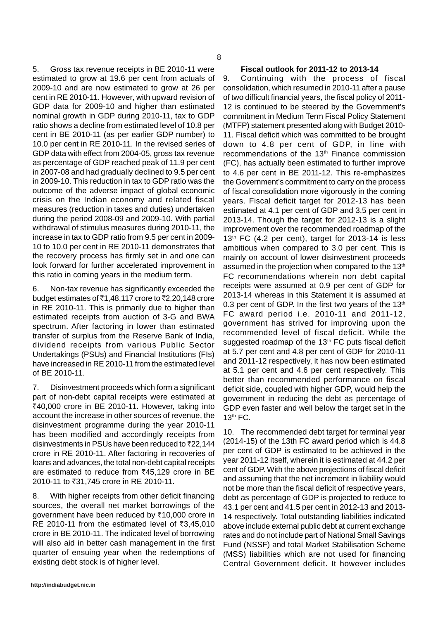5. Gross tax revenue receipts in BE 2010-11 were estimated to grow at 19.6 per cent from actuals of 2009-10 and are now estimated to grow at 26 per cent in RE 2010-11. However, with upward revision of GDP data for 2009-10 and higher than estimated nominal growth in GDP during 2010-11, tax to GDP ratio shows a decline from estimated level of 10.8 per cent in BE 2010-11 (as per earlier GDP number) to 10.0 per cent in RE 2010-11. In the revised series of GDP data with effect from 2004-05, gross tax revenue as percentage of GDP reached peak of 11.9 per cent in 2007-08 and had gradually declined to 9.5 per cent in 2009-10. This reduction in tax to GDP ratio was the outcome of the adverse impact of global economic crisis on the Indian economy and related fiscal measures (reduction in taxes and duties) undertaken during the period 2008-09 and 2009-10. With partial withdrawal of stimulus measures during 2010-11, the increase in tax to GDP ratio from 9.5 per cent in 2009- 10 to 10.0 per cent in RE 2010-11 demonstrates that the recovery process has firmly set in and one can look forward for further accelerated improvement in this ratio in coming years in the medium term.

6. Non-tax revenue has significantly exceeded the budget estimates of  $\bar{c}$ 1,48,117 crore to  $\bar{c}$ 2,20,148 crore in RE 2010-11. This is primarily due to higher than estimated receipts from auction of 3-G and BWA spectrum. After factoring in lower than estimated transfer of surplus from the Reserve Bank of India, dividend receipts from various Public Sector Undertakings (PSUs) and Financial Institutions (FIs) have increased in RE 2010-11 from the estimated level of BE 2010-11.

7. Disinvestment proceeds which form a significant part of non-debt capital receipts were estimated at  $\overline{\xi}$ 40,000 crore in BE 2010-11. However, taking into account the increase in other sources of revenue, the disinvestment programme during the year 2010-11 has been modified and accordingly receipts from disinvestments in PSUs have been reduced to  $\bar{z}$ 22,144 crore in RE 2010-11. After factoring in recoveries of loans and advances, the total non-debt capital receipts are estimated to reduce from  $\overline{5}45.129$  crore in BE 2010-11 to ₹31,745 crore in RE 2010-11.

8. With higher receipts from other deficit financing sources, the overall net market borrowings of the government have been reduced by  $\overline{\xi}$ 10,000 crore in RE 2010-11 from the estimated level of  $\bar{\tau}3,45,010$ crore in BE 2010-11. The indicated level of borrowing will also aid in better cash management in the first quarter of ensuing year when the redemptions of existing debt stock is of higher level.

# **Fiscal outlook for 2011-12 to 2013-14**

9. Continuing with the process of fiscal consolidation, which resumed in 2010-11 after a pause of two difficult financial years, the fiscal policy of 2011- 12 is continued to be steered by the Government's commitment in Medium Term Fiscal Policy Statement (MTFP) statement presented along with Budget 2010- 11. Fiscal deficit which was committed to be brought down to 4.8 per cent of GDP, in line with recommendations of the 13<sup>th</sup> Finance commission (FC), has actually been estimated to further improve to 4.6 per cent in BE 2011-12. This re-emphasizes the Government's commitment to carry on the process of fiscal consolidation more vigorously in the coming years. Fiscal deficit target for 2012-13 has been estimated at 4.1 per cent of GDP and 3.5 per cent in 2013-14. Though the target for 2012-13 is a slight improvement over the recommended roadmap of the  $13<sup>th</sup>$  FC (4.2 per cent), target for 2013-14 is less ambitious when compared to 3.0 per cent. This is mainly on account of lower disinvestment proceeds assumed in the projection when compared to the 13<sup>th</sup> FC recommendations wherein non debt capital receipts were assumed at 0.9 per cent of GDP for 2013-14 whereas in this Statement it is assumed at 0.3 per cent of GDP. In the first two vears of the  $13<sup>th</sup>$ FC award period i.e. 2010-11 and 2011-12, government has strived for improving upon the recommended level of fiscal deficit. While the suggested roadmap of the  $13<sup>th</sup>$  FC puts fiscal deficit at 5.7 per cent and 4.8 per cent of GDP for 2010-11 and 2011-12 respectively, it has now been estimated at 5.1 per cent and 4.6 per cent respectively. This better than recommended performance on fiscal deficit side, coupled with higher GDP, would help the government in reducing the debt as percentage of GDP even faster and well below the target set in the 13th FC.

10. The recommended debt target for terminal year (2014-15) of the 13th FC award period which is 44.8 per cent of GDP is estimated to be achieved in the year 2011-12 itself, wherein it is estimated at 44.2 per cent of GDP. With the above projections of fiscal deficit and assuming that the net increment in liability would not be more than the fiscal deficit of respective years, debt as percentage of GDP is projected to reduce to 43.1 per cent and 41.5 per cent in 2012-13 and 2013- 14 respectively. Total outstanding liabilities indicated above include external public debt at current exchange rates and do not include part of National Small Savings Fund (NSSF) and total Market Stabilisation Scheme (MSS) liabilities which are not used for financing Central Government deficit. It however includes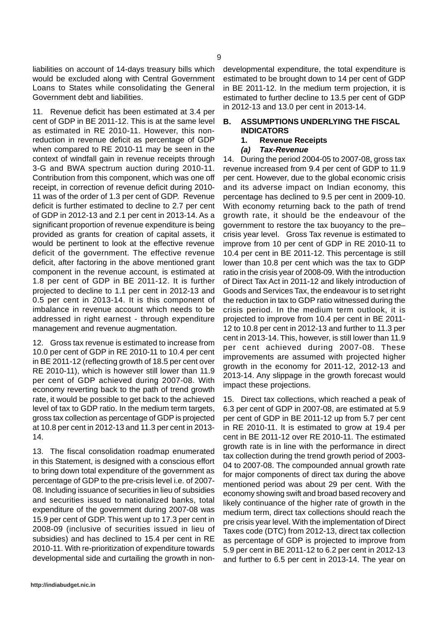liabilities on account of 14-days treasury bills which would be excluded along with Central Government Loans to States while consolidating the General Government debt and liabilities.

11. Revenue deficit has been estimated at 3.4 per cent of GDP in BE 2011-12. This is at the same level as estimated in RE 2010-11. However, this nonreduction in revenue deficit as percentage of GDP when compared to RE 2010-11 may be seen in the context of windfall gain in revenue receipts through 3-G and BWA spectrum auction during 2010-11. Contribution from this component, which was one off receipt, in correction of revenue deficit during 2010- 11 was of the order of 1.3 per cent of GDP. Revenue deficit is further estimated to decline to 2.7 per cent of GDP in 2012-13 and 2.1 per cent in 2013-14. As a significant proportion of revenue expenditure is being provided as grants for creation of capital assets, it would be pertinent to look at the effective revenue deficit of the government. The effective revenue deficit, after factoring in the above mentioned grant component in the revenue account, is estimated at 1.8 per cent of GDP in BE 2011-12. It is further projected to decline to 1.1 per cent in 2012-13 and 0.5 per cent in 2013-14. It is this component of imbalance in revenue account which needs to be addressed in right earnest - through expenditure management and revenue augmentation.

12. Gross tax revenue is estimated to increase from 10.0 per cent of GDP in RE 2010-11 to 10.4 per cent in BE 2011-12 (reflecting growth of 18.5 per cent over RE 2010-11), which is however still lower than 11.9 per cent of GDP achieved during 2007-08. With economy reverting back to the path of trend growth rate, it would be possible to get back to the achieved level of tax to GDP ratio. In the medium term targets, gross tax collection as percentage of GDP is projected at 10.8 per cent in 2012-13 and 11.3 per cent in 2013- 14.

13. The fiscal consolidation roadmap enumerated in this Statement, is designed with a conscious effort to bring down total expenditure of the government as percentage of GDP to the pre-crisis level i.e. of 2007- 08. Including issuance of securities in lieu of subsidies and securities issued to nationalized banks, total expenditure of the government during 2007-08 was 15.9 per cent of GDP. This went up to 17.3 per cent in 2008-09 (inclusive of securities issued in lieu of subsidies) and has declined to 15.4 per cent in RE 2010-11. With re-prioritization of expenditure towards developmental side and curtailing the growth in non-

developmental expenditure, the total expenditure is estimated to be brought down to 14 per cent of GDP in BE 2011-12. In the medium term projection, it is estimated to further decline to 13.5 per cent of GDP in 2012-13 and 13.0 per cent in 2013-14.

## **B. ASSUMPTIONS UNDERLYING THE FISCAL INDICATORS**

# **1. Revenue Receipts**

*(a) Tax-Revenue*

14. During the period 2004-05 to 2007-08, gross tax revenue increased from 9.4 per cent of GDP to 11.9 per cent. However, due to the global economic crisis and its adverse impact on Indian economy, this percentage has declined to 9.5 per cent in 2009-10. With economy returning back to the path of trend growth rate, it should be the endeavour of the government to restore the tax buoyancy to the pre– crisis year level. Gross Tax revenue is estimated to improve from 10 per cent of GDP in RE 2010-11 to 10.4 per cent in BE 2011-12. This percentage is still lower than 10.8 per cent which was the tax to GDP ratio in the crisis year of 2008-09. With the introduction of Direct Tax Act in 2011-12 and likely introduction of Goods and Services Tax, the endeavour is to set right the reduction in tax to GDP ratio witnessed during the crisis period. In the medium term outlook, it is projected to improve from 10.4 per cent in BE 2011- 12 to 10.8 per cent in 2012-13 and further to 11.3 per cent in 2013-14. This, however, is still lower than 11.9 per cent achieved during 2007-08. These improvements are assumed with projected higher growth in the economy for 2011-12, 2012-13 and 2013-14. Any slippage in the growth forecast would impact these projections.

15. Direct tax collections, which reached a peak of 6.3 per cent of GDP in 2007-08, are estimated at 5.9 per cent of GDP in BE 2011-12 up from 5.7 per cent in RE 2010-11. It is estimated to grow at 19.4 per cent in BE 2011-12 over RE 2010-11. The estimated growth rate is in line with the performance in direct tax collection during the trend growth period of 2003- 04 to 2007-08. The compounded annual growth rate for major components of direct tax during the above mentioned period was about 29 per cent. With the economy showing swift and broad based recovery and likely continuance of the higher rate of growth in the medium term, direct tax collections should reach the pre crisis year level. With the implementation of Direct Taxes code (DTC) from 2012-13, direct tax collection as percentage of GDP is projected to improve from 5.9 per cent in BE 2011-12 to 6.2 per cent in 2012-13 and further to 6.5 per cent in 2013-14. The year on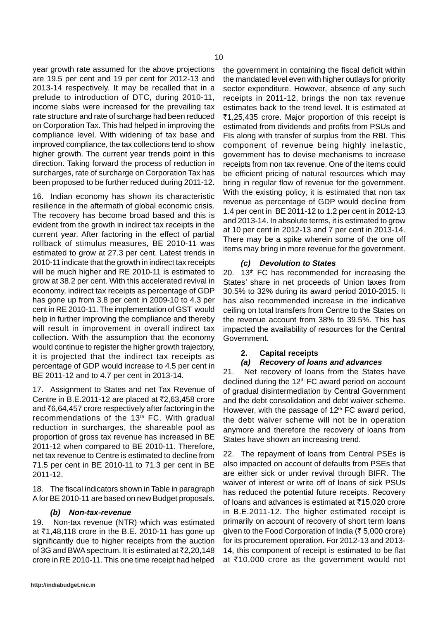year growth rate assumed for the above projections are 19.5 per cent and 19 per cent for 2012-13 and 2013-14 respectively. It may be recalled that in a prelude to introduction of DTC, during 2010-11, income slabs were increased for the prevailing tax rate structure and rate of surcharge had been reduced on Corporation Tax. This had helped in improving the compliance level. With widening of tax base and improved compliance, the tax collections tend to show higher growth. The current year trends point in this direction. Taking forward the process of reduction in surcharges, rate of surcharge on Corporation Tax has been proposed to be further reduced during 2011-12.

16. Indian economy has shown its characteristic resilience in the aftermath of global economic crisis. The recovery has become broad based and this is evident from the growth in indirect tax receipts in the current year. After factoring in the effect of partial rollback of stimulus measures, BE 2010-11 was estimated to grow at 27.3 per cent. Latest trends in 2010-11 indicate that the growth in indirect tax receipts will be much higher and RE 2010-11 is estimated to grow at 38.2 per cent. With this accelerated revival in economy, indirect tax receipts as percentage of GDP has gone up from 3.8 per cent in 2009-10 to 4.3 per cent in RE 2010-11. The implementation of GST would help in further improving the compliance and thereby will result in improvement in overall indirect tax collection. With the assumption that the economy would continue to register the higher growth trajectory, it is projected that the indirect tax receipts as percentage of GDP would increase to 4.5 per cent in BE 2011-12 and to 4.7 per cent in 2013-14.

17. Assignment to States and net Tax Revenue of Centre in B.E.2011-12 are placed at  $\overline{22,63,458}$  crore and  $\bar{c}6,64,457$  crore respectively after factoring in the recommendations of the 13<sup>th</sup> FC. With gradual reduction in surcharges, the shareable pool as proportion of gross tax revenue has increased in BE 2011-12 when compared to BE 2010-11. Therefore, net tax revenue to Centre is estimated to decline from 71.5 per cent in BE 2010-11 to 71.3 per cent in BE 2011-12.

18. The fiscal indicators shown in Table in paragraph A for BE 2010-11 are based on new Budget proposals.

### *(b) Non-tax-revenue*

19. Non-tax revenue (NTR) which was estimated at  $\bar{z}$ 1,48,118 crore in the B.E. 2010-11 has gone up significantly due to higher receipts from the auction of 3G and BWA spectrum. It is estimated at  $\bar{z}$ 2,20,148 crore in RE 2010-11. This one time receipt had helped the government in containing the fiscal deficit within the mandated level even with higher outlays for priority sector expenditure. However, absence of any such receipts in 2011-12, brings the non tax revenue estimates back to the trend level. It is estimated at ₹1,25,435 crore. Major proportion of this receipt is estimated from dividends and profits from PSUs and FIs along with transfer of surplus from the RBI. This component of revenue being highly inelastic, government has to devise mechanisms to increase receipts from non tax revenue. One of the items could be efficient pricing of natural resources which may bring in regular flow of revenue for the government. With the existing policy, it is estimated that non tax revenue as percentage of GDP would decline from 1.4 per cent in BE 2011-12 to 1.2 per cent in 2012-13 and 2013-14. In absolute terms, it is estimated to grow at 10 per cent in 2012-13 and 7 per cent in 2013-14. There may be a spike wherein some of the one off items may bring in more revenue for the government.

#### *(c) Devolution to States*

20. 13<sup>th</sup> FC has recommended for increasing the States' share in net proceeds of Union taxes from 30.5% to 32% during its award period 2010-2015. It has also recommended increase in the indicative ceiling on total transfers from Centre to the States on the revenue account from 38% to 39.5%. This has impacted the availability of resources for the Central Government.

#### **2. Capital receipts**

#### *(a) Recovery of loans and advances*

21. Net recovery of loans from the States have declined during the  $12<sup>th</sup>$  FC award period on account of gradual disintermediation by Central Government and the debt consolidation and debt waiver scheme. However, with the passage of  $12<sup>th</sup>$  FC award period, the debt waiver scheme will not be in operation anymore and therefore the recovery of loans from States have shown an increasing trend.

22. The repayment of loans from Central PSEs is also impacted on account of defaults from PSEs that are either sick or under revival through BIFR. The waiver of interest or write off of loans of sick PSUs has reduced the potential future receipts. Recovery of loans and advances is estimated at  $\bar{c}$ 15,020 crore in B.E.2011-12. The higher estimated receipt is primarily on account of recovery of short term loans given to the Food Corporation of India ( $\bar{\tau}$  5,000 crore) for its procurement operation. For 2012-13 and 2013- 14, this component of receipt is estimated to be flat at  $\bar{z}$ 10,000 crore as the government would not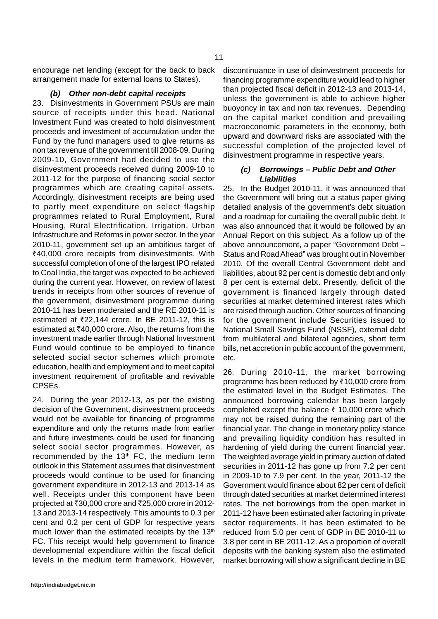encourage net lending (except for the back to back arrangement made for external loans to States).

#### *(b) Other non-debt capital receipts*

23. Disinvestments in Government PSUs are main source of receipts under this head. National Investment Fund was created to hold disinvestment proceeds and investment of accumulation under the Fund by the fund managers used to give returns as non tax revenue of the government till 2008-09. During 2009-10, Government had decided to use the disinvestment proceeds received during 2009-10 to 2011-12 for the purpose of financing social sector programmes which are creating capital assets. Accordingly, disinvestment receipts are being used to partly meet expenditure on select flagship programmes related to Rural Employment, Rural Housing, Rural Electrification, Irrigation, Urban Infrastructure and Reforms in power sector. In the year 2010-11, government set up an ambitious target of ₹40,000 crore receipts from disinvestments. With successful completion of one of the largest IPO related to Coal India, the target was expected to be achieved during the current year. However, on review of latest trends in receipts from other sources of revenue of the government, disinvestment programme during 2010-11 has been moderated and the RE 2010-11 is estimated at  $\overline{5}22.144$  crore. In BE 2011-12, this is estimated at  $\bar{e}$ 40,000 crore. Also, the returns from the investment made earlier through National Investment Fund would continue to be employed to finance selected social sector schemes which promote education, health and employment and to meet capital investment requirement of profitable and revivable CPSEs.

24. During the year 2012-13, as per the existing decision of the Government, disinvestment proceeds would not be available for financing of programme expenditure and only the returns made from earlier and future investments could be used for financing select social sector programmes. However, as recommended by the  $13<sup>th</sup>$  FC, the medium term outlook in this Statement assumes that disinvestment proceeds would continue to be used for financing government expenditure in 2012-13 and 2013-14 as well. Receipts under this component have been projected at  $\text{\textdegree}30,000$  crore and  $\text{\textdegree}25,000$  crore in 2012-13 and 2013-14 respectively. This amounts to 0.3 per cent and 0.2 per cent of GDP for respective years much lower than the estimated receipts by the  $13<sup>th</sup>$ FC. This receipt would help government to finance developmental expenditure within the fiscal deficit levels in the medium term framework. However,

discontinuance in use of disinvestment proceeds for financing programme expenditure would lead to higher than projected fiscal deficit in 2012-13 and 2013-14, unless the government is able to achieve higher buoyoncy in tax and non tax revenues. Depending on the capital market condition and prevailing macroeconomic parameters in the economy, both upward and downward risks are associated with the successful completion of the projected level of disinvestment programme in respective years.

## *(c) Borrowings – Public Debt and Other Liabilities*

25. In the Budget 2010-11, it was announced that the Government will bring out a status paper giving detailed analysis of the government's debt situation and a roadmap for curtailing the overall public debt. It was also announced that it would be followed by an Annual Report on this subject. As a follow up of the above announcement, a paper "Government Debt – Status and Road Ahead" was brought out in November 2010. Of the overall Central Government debt and liabilities, about 92 per cent is domestic debt and only 8 per cent is external debt. Presently, deficit of the government is financed largely through dated securities at market determined interest rates which are raised through auction. Other sources of financing for the government include Securities issued to National Small Savings Fund (NSSF), external debt from multilateral and bilateral agencies, short term bills, net accretion in public account of the government, etc.

26. During 2010-11, the market borrowing programme has been reduced by  $\overline{\xi}$ 10,000 crore from the estimated level in the Budget Estimates. The announced borrowing calendar has been largely completed except the balance  $\bar{\tau}$  10,000 crore which may not be raised during the remaining part of the financial year. The change in monetary policy stance and prevailing liquidity condition has resulted in hardening of yield during the current financial year. The weighted average yield in primary auction of dated securities in 2011-12 has gone up from 7.2 per cent in 2009-10 to 7.9 per cent. In the year, 2011-12 the Government would finance about 82 per cent of deficit through dated securities at market determined interest rates. The net borrowings from the open market in 2011-12 have been estimated after factoring in private sector requirements. It has been estimated to be reduced from 5.0 per cent of GDP in BE 2010-11 to 3.8 per cent in BE 2011-12. As a proportion of overall deposits with the banking system also the estimated market borrowing will show a significant decline in BE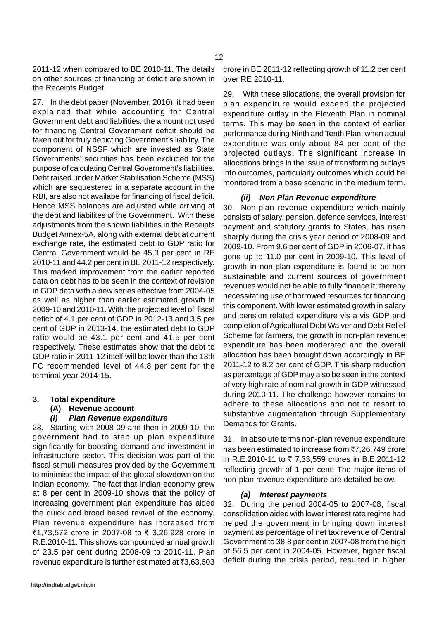2011-12 when compared to BE 2010-11. The details on other sources of financing of deficit are shown in the Receipts Budget.

27. In the debt paper (November, 2010), it had been explained that while accounting for Central Government debt and liabilities, the amount not used for financing Central Government deficit should be taken out for truly depicting Government's liability. The component of NSSF which are invested as State Governments' securities has been excluded for the purpose of calculating Central Government's liabilities. Debt raised under Market Stabilisation Scheme (MSS) which are sequestered in a separate account in the RBI, are also not availabe for financing of fiscal deficit. Hence MSS balances are adjusted while arriving at the debt and liabilites of the Government. With these adjustments from the shown liabilities in the Receipts Budget Annex-5A, along with external debt at current exchange rate, the estimated debt to GDP ratio for Central Government would be 45.3 per cent in RE 2010-11 and 44.2 per cent in BE 2011-12 respectively. This marked improvement from the earlier reported data on debt has to be seen in the context of revision in GDP data with a new series effective from 2004-05 as well as higher than earlier estimated growth in 2009-10 and 2010-11. With the projected level of fiscal deficit of 4.1 per cent of GDP in 2012-13 and 3.5 per cent of GDP in 2013-14, the estimated debt to GDP ratio would be 43.1 per cent and 41.5 per cent respectively. These estimates show that the debt to GDP ratio in 2011-12 itself will be lower than the 13th FC recommended level of 44.8 per cent for the terminal year 2014-15.

**3. Total expenditure**

### **(A) Revenue account**

### *(i) Plan Revenue expenditure*

28. Starting with 2008-09 and then in 2009-10, the government had to step up plan expenditure significantly for boosting demand and investment in infrastructure sector. This decision was part of the fiscal stimuli measures provided by the Government to minimise the impact of the global slowdown on the Indian economy. The fact that Indian economy grew at 8 per cent in 2009-10 shows that the policy of increasing government plan expenditure has aided the quick and broad based revival of the economy. Plan revenue expenditure has increased from ₹1,73,572 crore in 2007-08 to ₹ 3,26,928 crore in R.E.2010-11. This shows compounded annual growth of 23.5 per cent during 2008-09 to 2010-11. Plan revenue expenditure is further estimated at  $\bar{z}3,63,603$ 

29. With these allocations, the overall provision for plan expenditure would exceed the projected expenditure outlay in the Eleventh Plan in nominal terms. This may be seen in the context of earlier performance during Ninth and Tenth Plan, when actual expenditure was only about 84 per cent of the projected outlays. The significant increase in allocations brings in the issue of transforming outlays into outcomes, particularly outcomes which could be monitored from a base scenario in the medium term.

### *(ii) Non Plan Revenue expenditure*

30. Non-plan revenue expenditure which mainly consists of salary, pension, defence services, interest payment and statutory grants to States, has risen sharply during the crisis year period of 2008-09 and 2009-10. From 9.6 per cent of GDP in 2006-07, it has gone up to 11.0 per cent in 2009-10. This level of growth in non-plan expenditure is found to be non sustainable and current sources of government revenues would not be able to fully finance it; thereby necessitating use of borrowed resources for financing this component. With lower estimated growth in salary and pension related expenditure vis a vis GDP and completion of Agricultural Debt Waiver and Debt Relief Scheme for farmers, the growth in non-plan revenue expenditure has been moderated and the overall allocation has been brought down accordingly in BE 2011-12 to 8.2 per cent of GDP. This sharp reduction as percentage of GDP may also be seen in the context of very high rate of nominal growth in GDP witnessed during 2010-11. The challenge however remains to adhere to these allocations and not to resort to substantive augmentation through Supplementary Demands for Grants.

31. In absolute terms non-plan revenue expenditure has been estimated to increase from  $\overline{77,26,749}$  crore in R.E.2010-11 to  $\bar{z}$  7,33,559 crores in B.E.2011-12 reflecting growth of 1 per cent. The major items of non-plan revenue expenditure are detailed below.

### *(a) Interest payments*

32. During the period 2004-05 to 2007-08, fiscal consolidation aided with lower interest rate regime had helped the government in bringing down interest payment as percentage of net tax revenue of Central Government to 38.8 per cent in 2007-08 from the high of 56.5 per cent in 2004-05. However, higher fiscal deficit during the crisis period, resulted in higher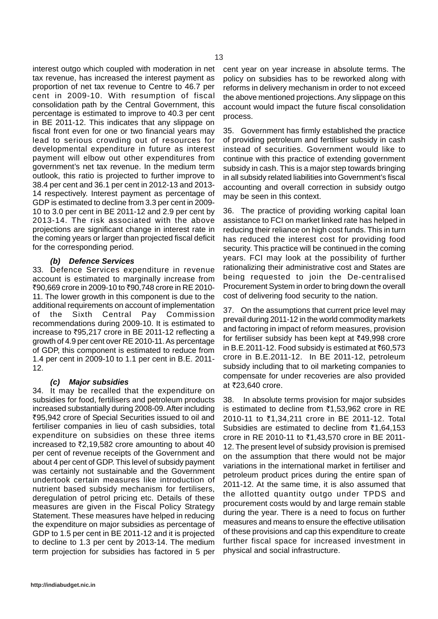interest outgo which coupled with moderation in net tax revenue, has increased the interest payment as proportion of net tax revenue to Centre to 46.7 per cent in 2009-10. With resumption of fiscal consolidation path by the Central Government, this percentage is estimated to improve to 40.3 per cent in BE 2011-12. This indicates that any slippage on fiscal front even for one or two financial years may lead to serious crowding out of resources for developmental expenditure in future as interest payment will elbow out other expenditures from government's net tax revenue. In the medium term outlook, this ratio is projected to further improve to 38.4 per cent and 36.1 per cent in 2012-13 and 2013- 14 respectively. Interest payment as percentage of GDP is estimated to decline from 3.3 per cent in 2009- 10 to 3.0 per cent in BE 2011-12 and 2.9 per cent by 2013-14. The risk associated with the above projections are significant change in interest rate in the coming years or larger than projected fiscal deficit for the corresponding period.

## *(b) Defence Services*

33. Defence Services expenditure in revenue account is estimated to marginally increase from ₹90,669 crore in 2009-10 to ₹90,748 crore in RE 2010-11. The lower growth in this component is due to the additional requirements on account of implementation of the Sixth Central Pay Commission recommendations during 2009-10. It is estimated to increase to  $\overline{395,217}$  crore in BE 2011-12 reflecting a growth of 4.9 per cent over RE 2010-11. As percentage of GDP, this component is estimated to reduce from 1.4 per cent in 2009-10 to 1.1 per cent in B.E. 2011- 12.

### *(c) Major subsidies*

34. It may be recalled that the expenditure on subsidies for food, fertilisers and petroleum products increased substantially during 2008-09. After including `95,942 crore of Special Securities issued to oil and fertiliser companies in lieu of cash subsidies, total expenditure on subsidies on these three items increased to  $\bar{\mathfrak{z}}2,19,582$  crore amounting to about 40 per cent of revenue receipts of the Government and about 4 per cent of GDP. This level of subsidy payment was certainly not sustainable and the Government undertook certain measures like introduction of nutrient based subsidy mechanism for fertilisers, deregulation of petrol pricing etc. Details of these measures are given in the Fiscal Policy Strategy Statement. These measures have helped in reducing the expenditure on major subsidies as percentage of GDP to 1.5 per cent in BE 2011-12 and it is projected to decline to 1.3 per cent by 2013-14. The medium term projection for subsidies has factored in 5 per

cent year on year increase in absolute terms. The policy on subsidies has to be reworked along with reforms in delivery mechanism in order to not exceed the above mentioned projections. Any slippage on this account would impact the future fiscal consolidation process.

35. Government has firmly established the practice of providing petroleum and fertiliser subsidy in cash instead of securities. Government would like to continue with this practice of extending government subsidy in cash. This is a major step towards bringing in all subsidy related liabilities into Government's fiscal accounting and overall correction in subsidy outgo may be seen in this context.

36. The practice of providing working capital loan assistance to FCI on market linked rate has helped in reducing their reliance on high cost funds. This in turn has reduced the interest cost for providing food security. This practice will be continued in the coming years. FCI may look at the possibility of further rationalizing their administrative cost and States are being requested to join the De-centralised Procurement System in order to bring down the overall cost of delivering food security to the nation.

37. On the assumptions that current price level may prevail during 2011-12 in the world commodity markets and factoring in impact of reform measures, provision for fertiliser subsidy has been kept at  $\overline{6}49,998$  crore in B.E.2011-12. Food subsidy is estimated at ₹60,573 crore in B.E.2011-12. In BE 2011-12, petroleum subsidy including that to oil marketing companies to compensate for under recoveries are also provided at ₹23,640 crore.

38. In absolute terms provision for major subsides is estimated to decline from  $\overline{51,53,962}$  crore in RE 2010-11 to ₹1,34,211 crore in BE 2011-12. Total Subsidies are estimated to decline from  $\bar{\tau}$ 1,64,153 crore in RE 2010-11 to  $\bar{\tau}$ 1,43,570 crore in BE 2011-12. The present level of subsidy provision is premised on the assumption that there would not be major variations in the international market in fertiliser and petroleum product prices during the entire span of 2011-12. At the same time, it is also assumed that the allotted quantity outgo under TPDS and procurement costs would by and large remain stable during the year. There is a need to focus on further measures and means to ensure the effective utilisation of these provisions and cap this expenditure to create further fiscal space for increased investment in physical and social infrastructure.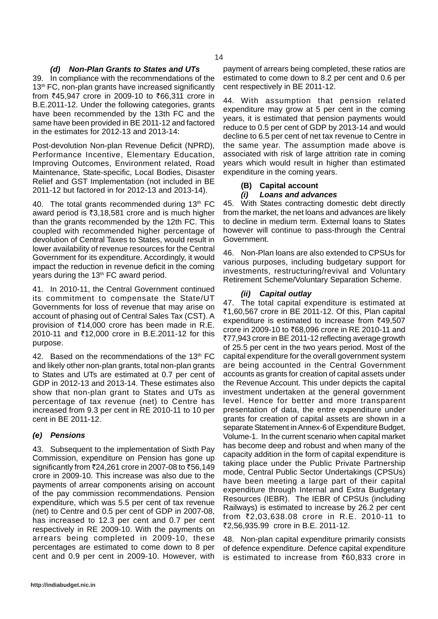## *(d) Non-Plan Grants to States and UTs*

39. In compliance with the recommendations of the 13<sup>th</sup> FC, non-plan grants have increased significantly from ₹45,947 crore in 2009-10 to ₹66,311 crore in B.E.2011-12. Under the following categories, grants have been recommended by the 13th FC and the same have been provided in BE 2011-12 and factored in the estimates for 2012-13 and 2013-14:

Post-devolution Non-plan Revenue Deficit (NPRD), Performance Incentive, Elementary Education, Improving Outcomes, Environment related, Road Maintenance, State-specific, Local Bodies, Disaster Relief and GST Implementation (not included in BE 2011-12 but factored in for 2012-13 and 2013-14).

40. The total grants recommended during  $13<sup>th</sup>$  FC award period is  $\overline{3,18,581}$  crore and is much higher than the grants recommended by the 12th FC. This coupled with recommended higher percentage of devolution of Central Taxes to States, would result in lower availability of revenue resources for the Central Government for its expenditure. Accordingly, it would impact the reduction in revenue deficit in the coming years during the 13<sup>th</sup> FC award period.

41. In 2010-11, the Central Government continued its commitment to compensate the State/UT Governments for loss of revenue that may arise on account of phasing out of Central Sales Tax (CST). A provision of  $\bar{\tau}$ 14,000 crore has been made in R.E. 2010-11 and ₹12,000 crore in B.E.2011-12 for this purpose.

42. Based on the recommendations of the 13th FC and likely other non-plan grants, total non-plan grants to States and UTs are estimated at 0.7 per cent of GDP in 2012-13 and 2013-14. These estimates also show that non-plan grant to States and UTs as percentage of tax revenue (net) to Centre has increased from 9.3 per cent in RE 2010-11 to 10 per cent in BE 2011-12.

### *(e) Pensions*

43. Subsequent to the implementation of Sixth Pay Commission, expenditure on Pension has gone up significantly from ₹24,261 crore in 2007-08 to ₹56,149 crore in 2009-10. This increase was also due to the payments of arrear components arising on account of the pay commission recommendations. Pension expenditure, which was 5.5 per cent of tax revenue (net) to Centre and 0.5 per cent of GDP in 2007-08, has increased to 12.3 per cent and 0.7 per cent respectively in RE 2009-10. With the payments on arrears being completed in 2009-10, these percentages are estimated to come down to 8 per cent and 0.9 per cent in 2009-10. However, with

44. With assumption that pension related expenditure may grow at 5 per cent in the coming years, it is estimated that pension payments would reduce to 0.5 per cent of GDP by 2013-14 and would decline to 6.5 per cent of net tax revenue to Centre in the same year. The assumption made above is associated with risk of large attrition rate in coming years which would result in higher than estimated expenditure in the coming years.

## **(B) Capital account**

## *(i) Loans and advances*

45. With States contracting domestic debt directly from the market, the net loans and advances are likely to decline in medium term. External loans to States however will continue to pass-through the Central Government.

46. Non-Plan loans are also extended to CPSUs for various purposes, including budgetary support for investments, restructuring/revival and Voluntary Retirement Scheme/Voluntary Separation Scheme.

## *(ii) Capital outlay*

47. The total capital expenditure is estimated at ₹1,60,567 crore in BE 2011-12. Of this, Plan capital expenditure is estimated to increase from  $\overline{6}49,507$ crore in 2009-10 to ₹68,096 crore in RE 2010-11 and `77,943 crore in BE 2011-12 reflecting average growth of 25.5 per cent in the two years period. Most of the capital expenditure for the overall government system are being accounted in the Central Government accounts as grants for creation of capital assets under the Revenue Account. This under depicts the capital investment undertaken at the general government level. Hence for better and more transparent presentation of data, the entre expenditure under grants for creation of capital assets are shown in a separate Statement in Annex-6 of Expenditure Budget, Volume-1. In the current scenario when capital market has become deep and robust and when many of the capacity addition in the form of capital expenditure is taking place under the Public Private Partnership mode, Central Public Sector Undertakings (CPSUs) have been meeting a large part of their capital expenditure through Internal and Extra Budgetary Resources (IEBR). The IEBR of CPSUs (including Railways) is estimated to increase by 26.2 per cent from `2,03,638.08 crore in R.E. 2010-11 to `2,56,935.99 crore in B.E. 2011-12.

48. Non-plan capital expenditure primarily consists of defence expenditure. Defence capital expenditure is estimated to increase from  $\overline{60,833}$  crore in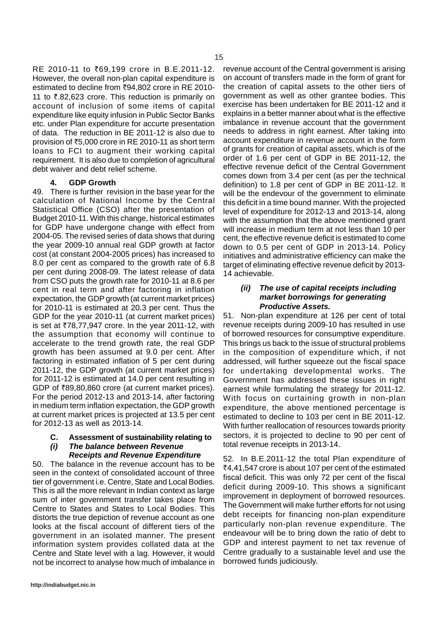RE 2010-11 to ₹69,199 crore in B.E.2011-12. However, the overall non-plan capital expenditure is estimated to decline from ₹94,802 crore in RE 2010-11 to  $\bar{\tau}$ .82,623 crore. This reduction is primarily on account of inclusion of some items of capital expenditure like equity infusion in Public Sector Banks etc. under Plan expenditure for accurte presentation of data. The reduction in BE 2011-12 is also due to provision of `5,000 crore in RE 2010-11 as short term loans to FCI to augment their working capital requirement. It is also due to completion of agricultural debt waiver and debt relief scheme.

#### **4. GDP Growth**

49. There is further revision in the base year for the calculation of National Income by the Central Statistical Office (CSO) after the presentation of Budget 2010-11. With this change, historical estimates for GDP have undergone change with effect from 2004-05. The revised series of data shows that during the year 2009-10 annual real GDP growth at factor cost (at constant 2004-2005 prices) has increased to 8.0 per cent as compared to the growth rate of 6.8 per cent during 2008-09. The latest release of data from CSO puts the growth rate for 2010-11 at 8.6 per cent in real term and after factoring in inflation expectation, the GDP growth (at current market prices) for 2010-11 is estimated at 20.3 per cent. Thus the GDP for the year 2010-11 (at current market prices) is set at  $\overline{78,77,947}$  crore. In the year 2011-12, with the assumption that economy will continue to accelerate to the trend growth rate, the real GDP growth has been assumed at 9.0 per cent. After factoring in estimated inflation of 5 per cent during 2011-12, the GDP growth (at current market prices) for 2011-12 is estimated at 14.0 per cent resulting in GDP of  $\bar{z}89,80,860$  crore (at current market prices). For the period 2012-13 and 2013-14, after factoring in medium term inflation expectation, the GDP growth at current market prices is projected at 13.5 per cent for 2012-13 as well as 2013-14.

#### **C. Assessment of sustainability relating to**

## *(i) The balance between Revenue*

*Receipts and Revenue Expenditure* 50. The balance in the revenue account has to be seen in the context of consolidated account of three tier of government i.e. Centre, State and Local Bodies. This is all the more relevant in Indian context as large sum of inter government transfer takes place from Centre to States and States to Local Bodies. This distorts the true depiction of revenue account as one looks at the fiscal account of different tiers of the government in an isolated manner. The present information system provides collated data at the Centre and State level with a lag. However, it would not be incorrect to analyse how much of imbalance in revenue account of the Central government is arising on account of transfers made in the form of grant for the creation of capital assets to the other tiers of government as well as other grantee bodies. This exercise has been undertaken for BE 2011-12 and it explains in a better manner about what is the effective imbalance in revenue account that the government needs to address in right earnest. After taking into account expenditure in revenue account in the form of grants for creation of capital assets, which is of the order of 1.6 per cent of GDP in BE 2011-12, the effective revenue deficit of the Central Government comes down from 3.4 per cent (as per the technical definition) to 1.8 per cent of GDP in BE 2011-12. It will be the endevour of the government to eliminate this deficit in a time bound manner. With the projected level of expenditure for 2012-13 and 2013-14, along with the assumption that the above mentioned grant will increase in medium term at not less than 10 per cent, the effective revenue deficit is estimated to come down to 0.5 per cent of GDP in 2013-14. Policy initiatives and administrative efficiency can make the target of eliminating effective revenue deficit by 2013- 14 achievable.

#### *(ii) The use of capital receipts including market borrowings for generating Productive Assets.*

51. Non-plan expenditure at 126 per cent of total revenue receipts during 2009-10 has resulted in use of borrowed resources for consumptive expenditure. This brings us back to the issue of structural problems in the composition of expenditure which, if not addressed, will further squeeze out the fiscal space for undertaking developmental works. The Government has addressed these issues in right earnest while formulating the strategy for 2011-12. With focus on curtaining growth in non-plan expenditure, the above mentioned percentage is estimated to decline to 103 per cent in BE 2011-12. With further reallocation of resources towards priority sectors, it is projected to decline to 90 per cent of total revenue receipts in 2013-14.

52. In B.E.2011-12 the total Plan expenditure of `4,41,547 crore is about 107 per cent of the estimated fiscal deficit. This was only 72 per cent of the fiscal deficit during 2009-10. This shows a significant improvement in deployment of borrowed resources. The Government will make further efforts for not using debt receipts for financing non-plan expenditure particularly non-plan revenue expenditure. The endeavour will be to bring down the ratio of debt to GDP and interest payment to net tax revenue of Centre gradually to a sustainable level and use the borrowed funds judiciously.